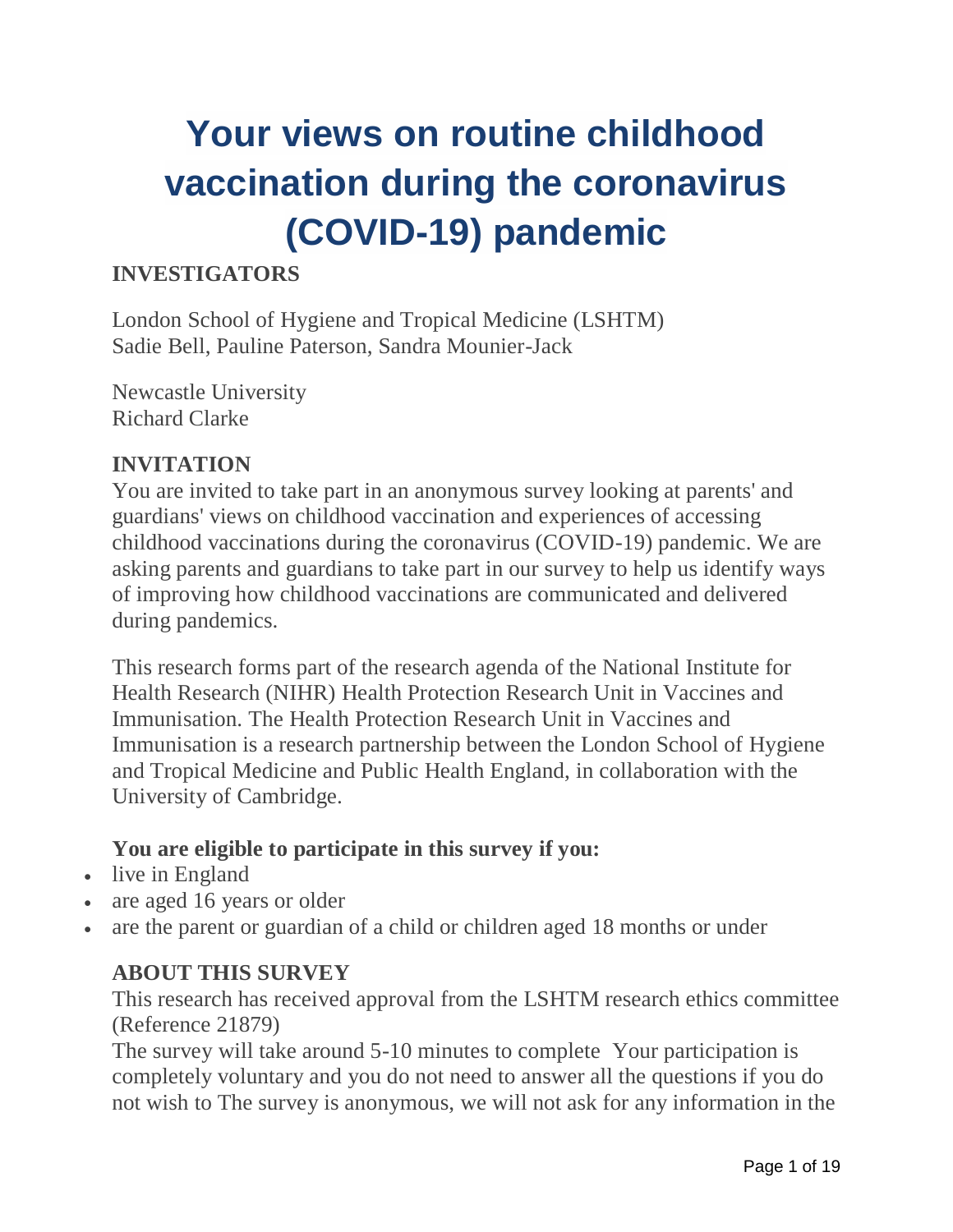# **Your views on routine childhood vaccination during the coronavirus (COVID-19) pandemic**

# **INVESTIGATORS**

London School of Hygiene and Tropical Medicine (LSHTM) Sadie Bell, Pauline Paterson, Sandra Mounier-Jack

Newcastle University Richard Clarke

# **INVITATION**

You are invited to take part in an anonymous survey looking at parents' and guardians' views on childhood vaccination and experiences of accessing childhood vaccinations during the coronavirus (COVID-19) pandemic. We are asking parents and guardians to take part in our survey to help us identify ways of improving how childhood vaccinations are communicated and delivered during pandemics.

This research forms part of the research agenda of the National Institute for Health Research (NIHR) Health Protection Research Unit in Vaccines and Immunisation. The Health Protection Research Unit in Vaccines and Immunisation is a research partnership between the London School of Hygiene and Tropical Medicine and Public Health England, in collaboration with the University of Cambridge.

# **You are eligible to participate in this survey if you:**

- live in England
- are aged 16 years or older
- are the parent or guardian of a child or children aged 18 months or under

# **ABOUT THIS SURVEY**

This research has received approval from the LSHTM research ethics committee (Reference 21879)

The survey will take around 5-10 minutes to complete Your participation is completely voluntary and you do not need to answer all the questions if you do not wish to The survey is anonymous, we will not ask for any information in the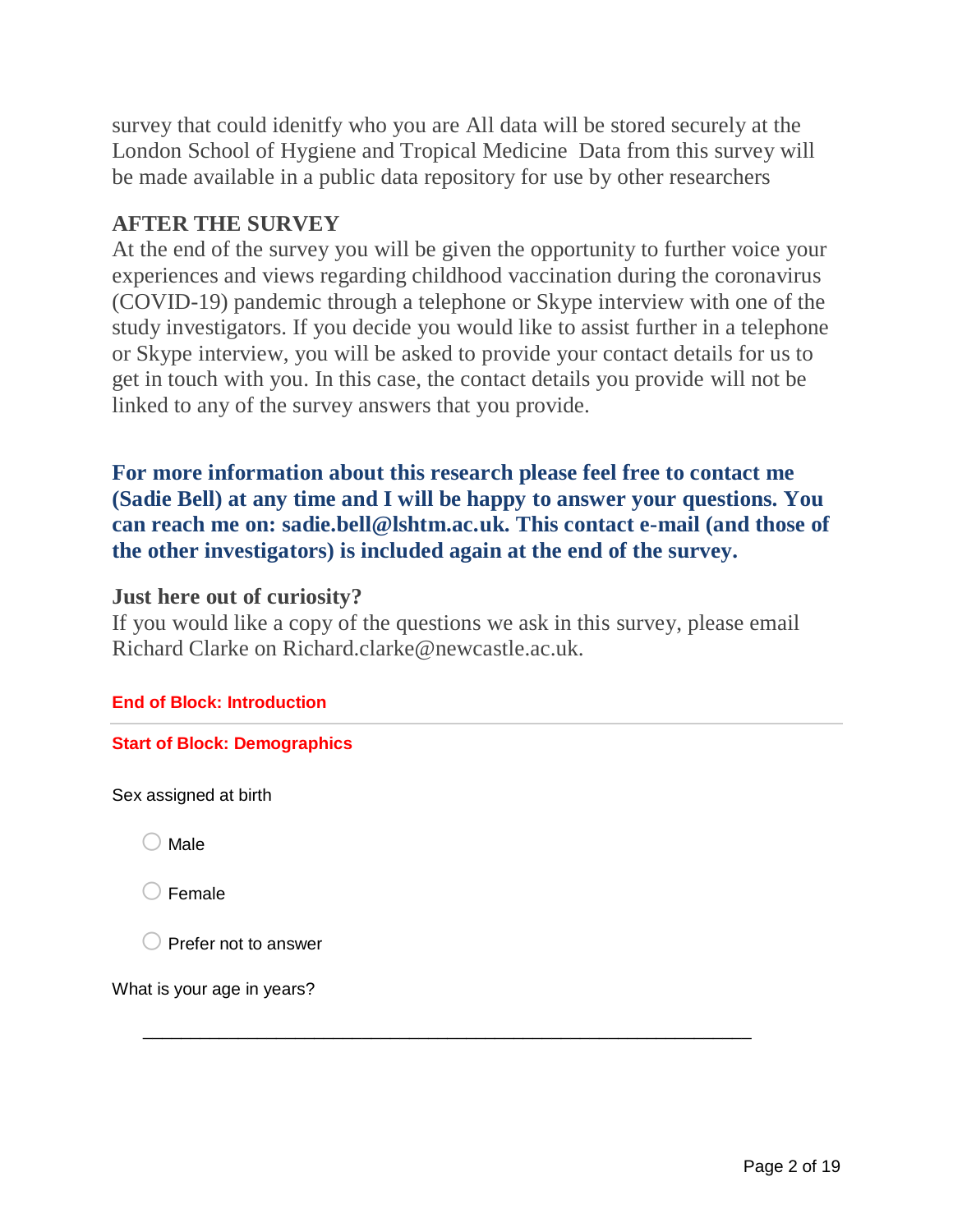survey that could idenitfy who you are All data will be stored securely at the London School of Hygiene and Tropical Medicine Data from this survey will be made available in a public data repository for use by other researchers

# **AFTER THE SURVEY**

At the end of the survey you will be given the opportunity to further voice your experiences and views regarding childhood vaccination during the coronavirus (COVID-19) pandemic through a telephone or Skype interview with one of the study investigators. If you decide you would like to assist further in a telephone or Skype interview, you will be asked to provide your contact details for us to get in touch with you. In this case, the contact details you provide will not be linked to any of the survey answers that you provide.

# **For more information about this research please feel free to contact me (Sadie Bell) at any time and I will be happy to answer your questions. You can reach me on: sadie.bell@lshtm.ac.uk. This contact e-mail (and those of the other investigators) is included again at the end of the survey.**

## **Just here out of curiosity?**

If you would like a copy of the questions we ask in this survey, please email Richard Clarke on Richard.clarke@newcastle.ac.uk.

## **End of Block: Introduction**

**Start of Block: Demographics** Sex assigned at birth  $\bigcirc$  Male  $\bigcirc$  Female  $\bigcirc$  Prefer not to answer What is your age in years?

\_\_\_\_\_\_\_\_\_\_\_\_\_\_\_\_\_\_\_\_\_\_\_\_\_\_\_\_\_\_\_\_\_\_\_\_\_\_\_\_\_\_\_\_\_\_\_\_\_\_\_\_\_\_\_\_\_\_\_\_\_\_\_\_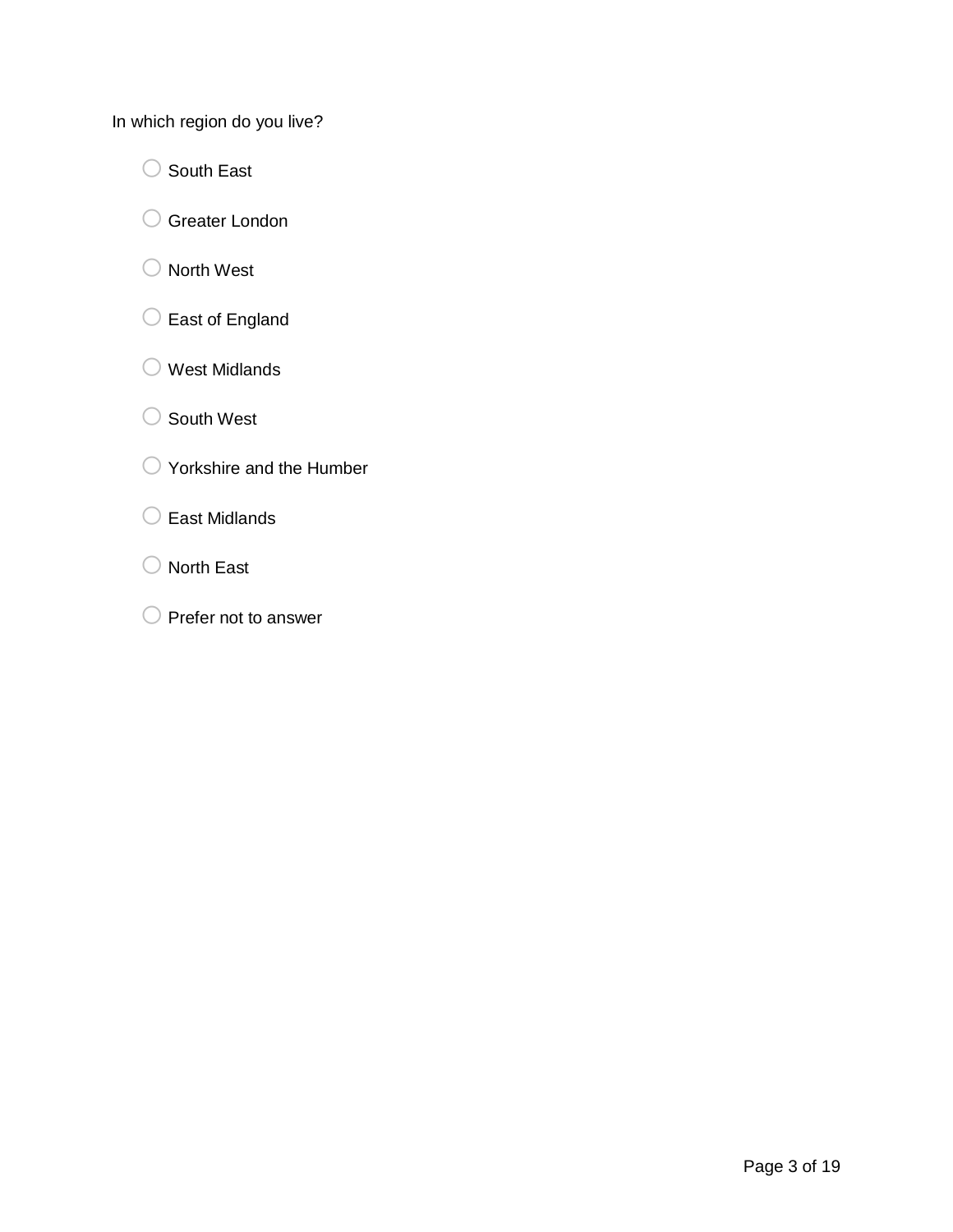In which region do you live?

- $\bigcirc$  South East
- O Greater London
- $\bigcirc$  North West
- $\bigcirc$  East of England
- $\bigcirc$  West Midlands
- O South West
- $\bigcirc$  Yorkshire and the Humber
- $\bigcirc$  East Midlands
- $\bigcirc$  North East
- $\bigcirc$  Prefer not to answer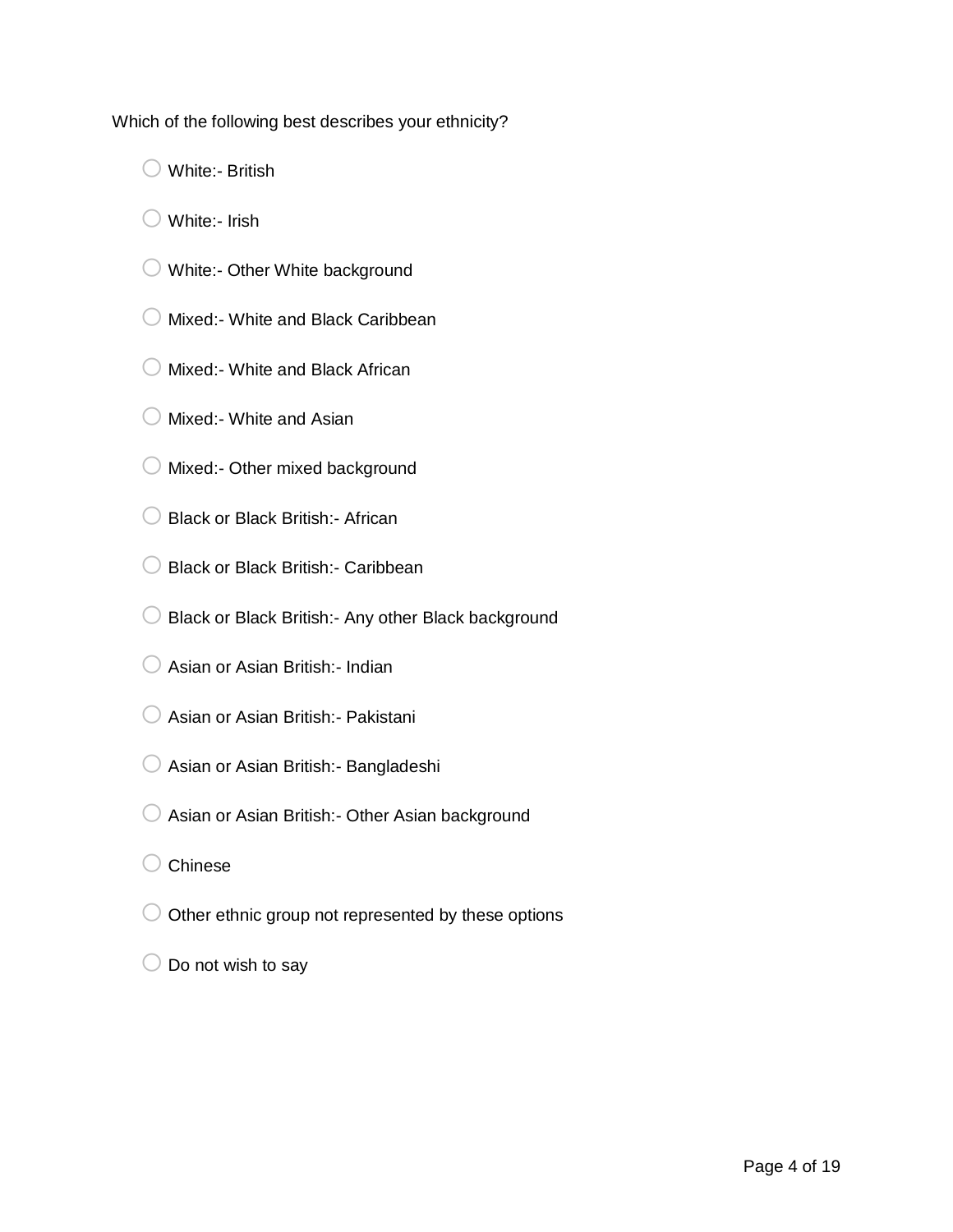Which of the following best describes your ethnicity?

- $\bigcirc$  White:- British
- $\bigcirc$  White:- Irish
- $\bigcirc$  White:- Other White background
- $\bigcirc$  Mixed:- White and Black Caribbean
- $\bigcirc$  Mixed:- White and Black African
- $\bigcirc$  Mixed:- White and Asian
- $\bigcirc$  Mixed:- Other mixed background
- $\bigcirc$  Black or Black British: African
- $\bigcirc$  Black or Black British: Caribbean
- $\bigcirc$  Black or Black British: Any other Black background
- $\bigcirc$  Asian or Asian British: Indian
- $\bigcirc$  Asian or Asian British: Pakistani
- o Asian or Asian British:- Bangladeshi
- $\bigcirc$  Asian or Asian British: Other Asian background
- $\bigcirc$  Chinese
- $\bigcirc$  Other ethnic group not represented by these options
- $\bigcirc$  Do not wish to say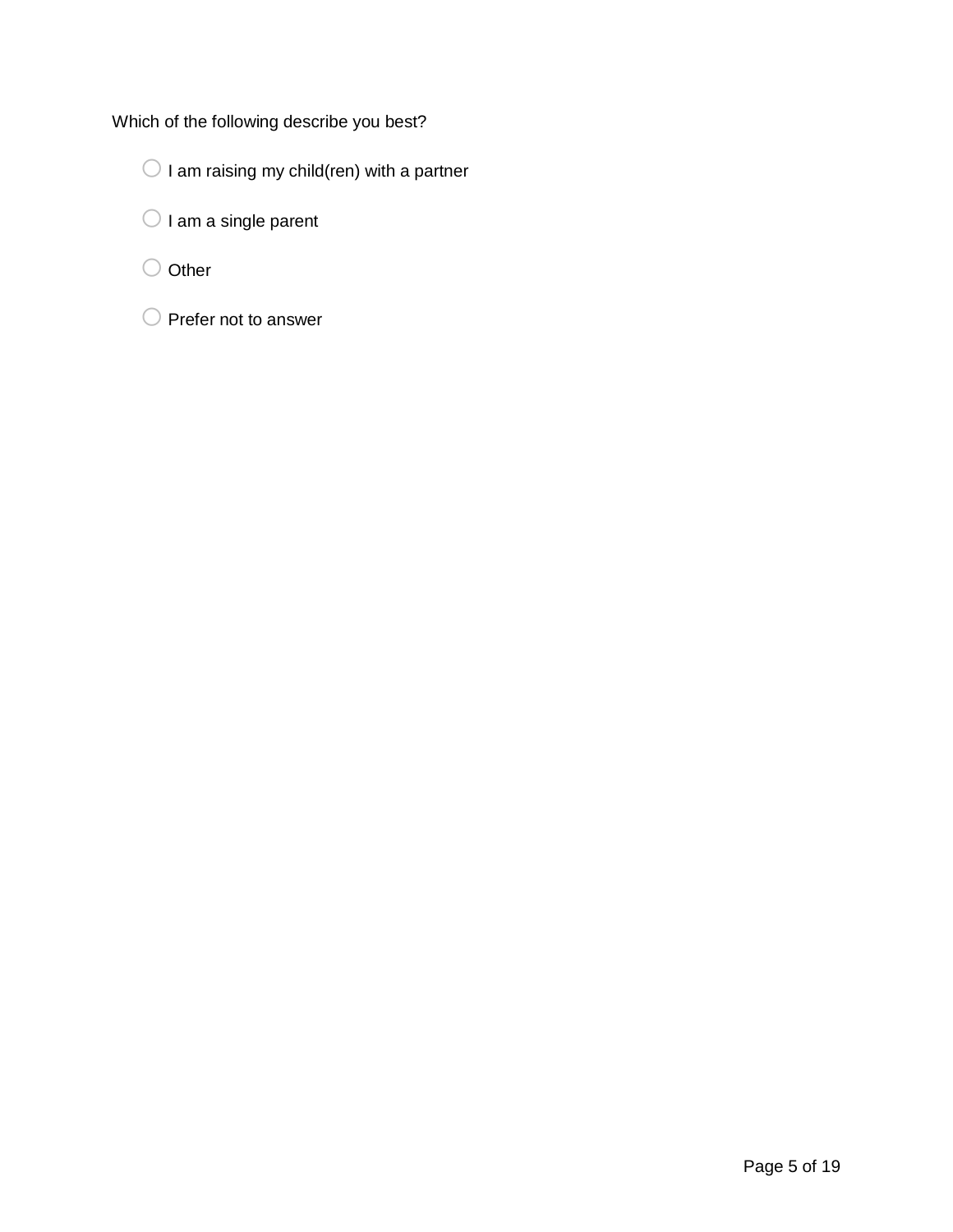Which of the following describe you best?

- $\bigcirc$  I am raising my child(ren) with a partner
- $\bigcirc$  I am a single parent
- O Other
- $\bigcirc$  Prefer not to answer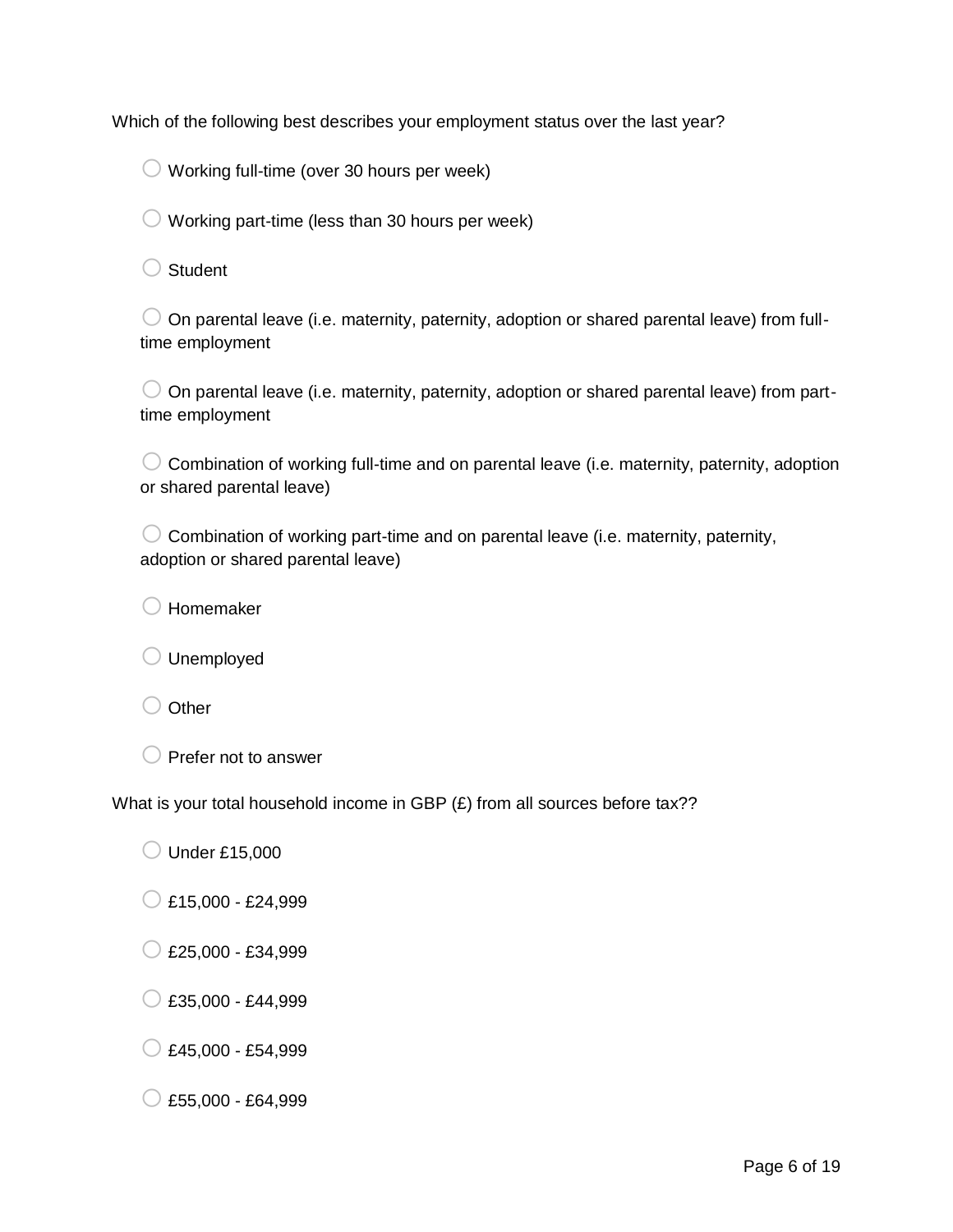Which of the following best describes your employment status over the last year?

 $\bigcirc$  Working full-time (over 30 hours per week)

 $\bigcirc$  Working part-time (less than 30 hours per week)

 $\bigcirc$  Student

 $\circ$  On parental leave (i.e. maternity, paternity, adoption or shared parental leave) from fulltime employment

 $\bigcirc$  On parental leave (i.e. maternity, paternity, adoption or shared parental leave) from parttime employment

 $\bigcirc$  Combination of working full-time and on parental leave (i.e. maternity, paternity, adoption or shared parental leave)

 $\bigcirc$  Combination of working part-time and on parental leave (i.e. maternity, paternity, adoption or shared parental leave)

 $\bigcirc$  Homemaker

 $\bigcirc$  Unemployed

 $\bigcirc$  Other

 $\bigcirc$  Prefer not to answer

What is your total household income in GBP (£) from all sources before tax??

| $\bigcirc$ Under £15,000 |
|--------------------------|

- $C$ £15,000 £24,999
- $C$ £25,000 £34,999
- $\circ$  £35,000 £44,999
- $\circ$ £45,000 £54,999
- $\circ$ £55,000 £64,999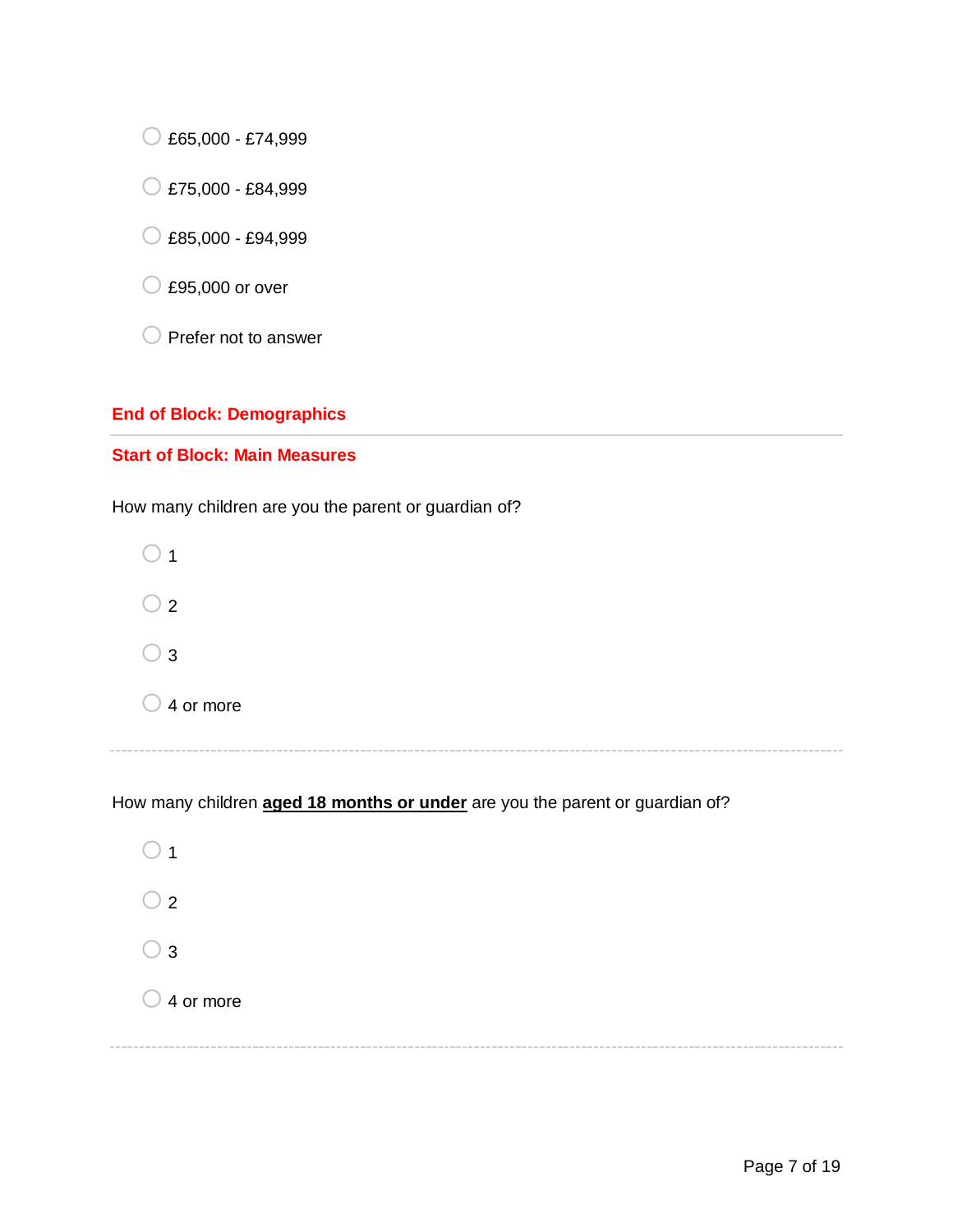$\circ$ £65,000 - £74,999

 $C$ £75,000 - £84,999

 $\circ$ £85,000 - £94,999

 $\bigcirc$  £95,000 or over

 $\bigcirc$  Prefer not to answer

**End of Block: Demographics**

**Start of Block: Main Measures**

How many children are you the parent or guardian of?

 $\bigcirc$  1  $\bigcirc$  2  $\bigcirc$  3  $\bigcirc$  4 or more

How many children **aged 18 months or under** are you the parent or guardian of?

| $\big)$ 1                                                    |  |
|--------------------------------------------------------------|--|
| $\bigcirc$ 2                                                 |  |
| $\left(\begin{array}{c} \circ \\ \circ \end{array}\right)$ 3 |  |
| $\bigcirc$ 4 or more                                         |  |
|                                                              |  |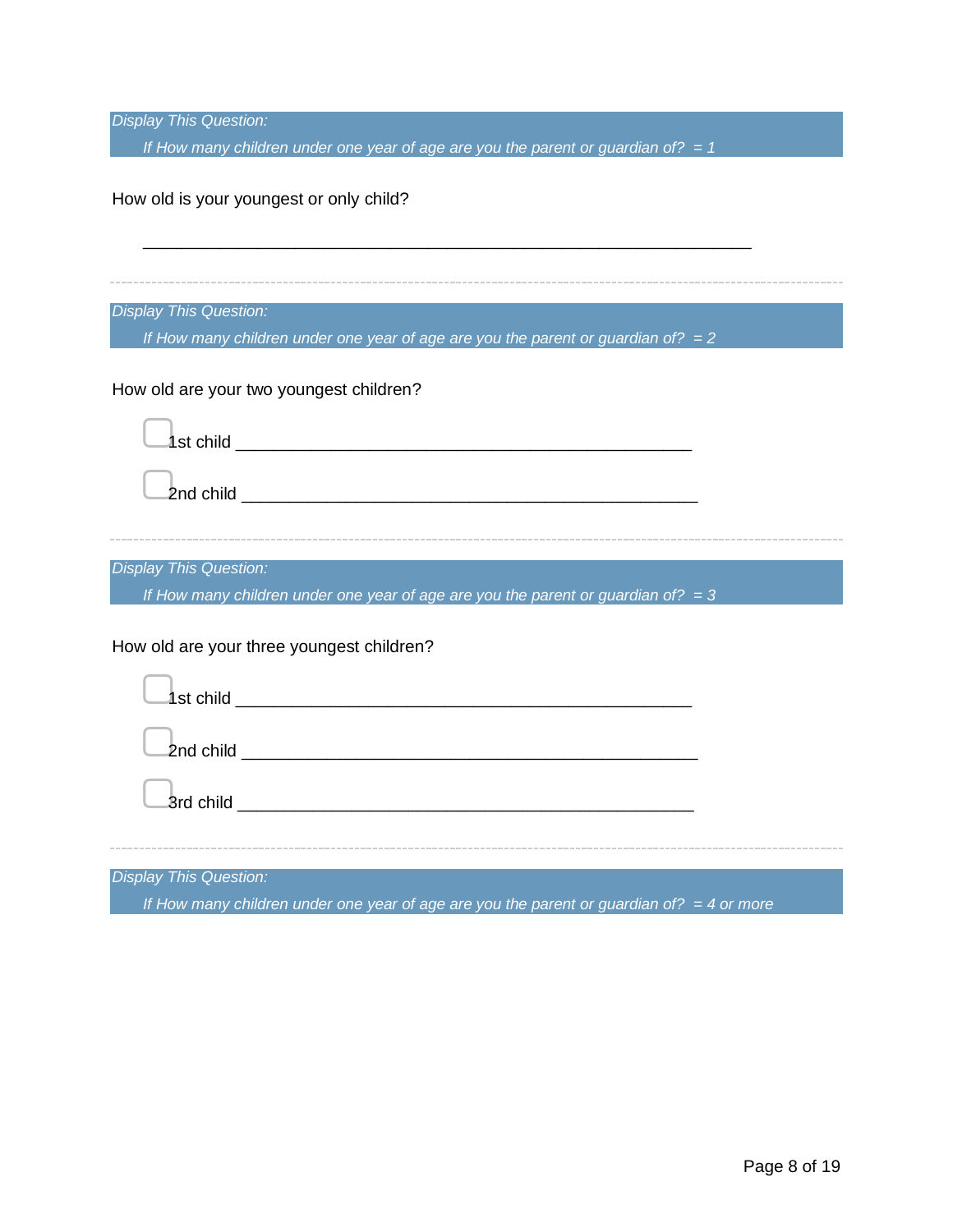*Display This Question:*

*If How many children under one year of age are you the parent or guardian of? = 1*

| How old is your youngest or only child?                                             |
|-------------------------------------------------------------------------------------|
|                                                                                     |
| <b>Display This Question:</b>                                                       |
| If How many children under one year of age are you the parent or guardian of? $= 2$ |
| How old are your two youngest children?                                             |
|                                                                                     |
|                                                                                     |
|                                                                                     |
| <b>Display This Question:</b>                                                       |
| If How many children under one year of age are you the parent or guardian of? $=$ 3 |
| How old are your three youngest children?                                           |
|                                                                                     |
|                                                                                     |
|                                                                                     |
|                                                                                     |
| <b>Display This Question:</b>                                                       |

*If How many children under one year of age are you the parent or guardian of? = 4 or more*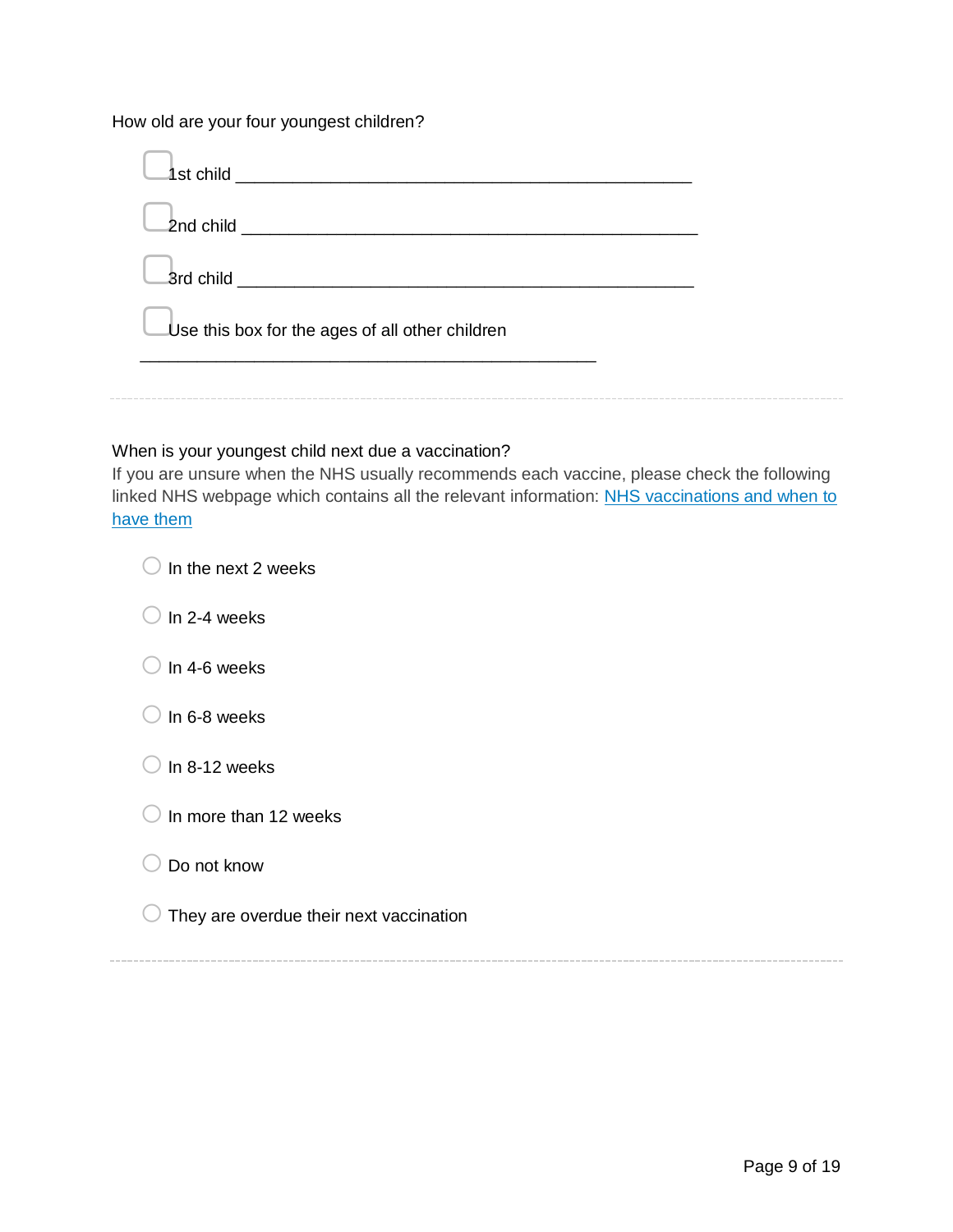How old are your four youngest children?

| ≸st child<br><u> 1980 - Andrea Andrew Maria (h. 1980).</u> |  |
|------------------------------------------------------------|--|
|                                                            |  |
|                                                            |  |
| Use this box for the ages of all other children            |  |
|                                                            |  |

### When is your youngest child next due a vaccination?

If you are unsure when the NHS usually recommends each vaccine, please check the following linked NHS webpage which contains all the relevant information: NHS vaccinations and when to [have them](https://www.nhs.uk/conditions/vaccinations/nhs-vaccinations-and-when-to-have-them/)

|  |                         | $\bigcirc$ In the next 2 weeks |
|--|-------------------------|--------------------------------|
|  | $\bigcirc$ In 2-4 weeks |                                |

- $\bigcirc$  In 4-6 weeks
- $\bigcirc$  In 6-8 weeks
- $\bigcirc$  In 8-12 weeks
- $\bigcirc$  In more than 12 weeks
- $\bigcirc$  Do not know
- $\bigcirc$  They are overdue their next vaccination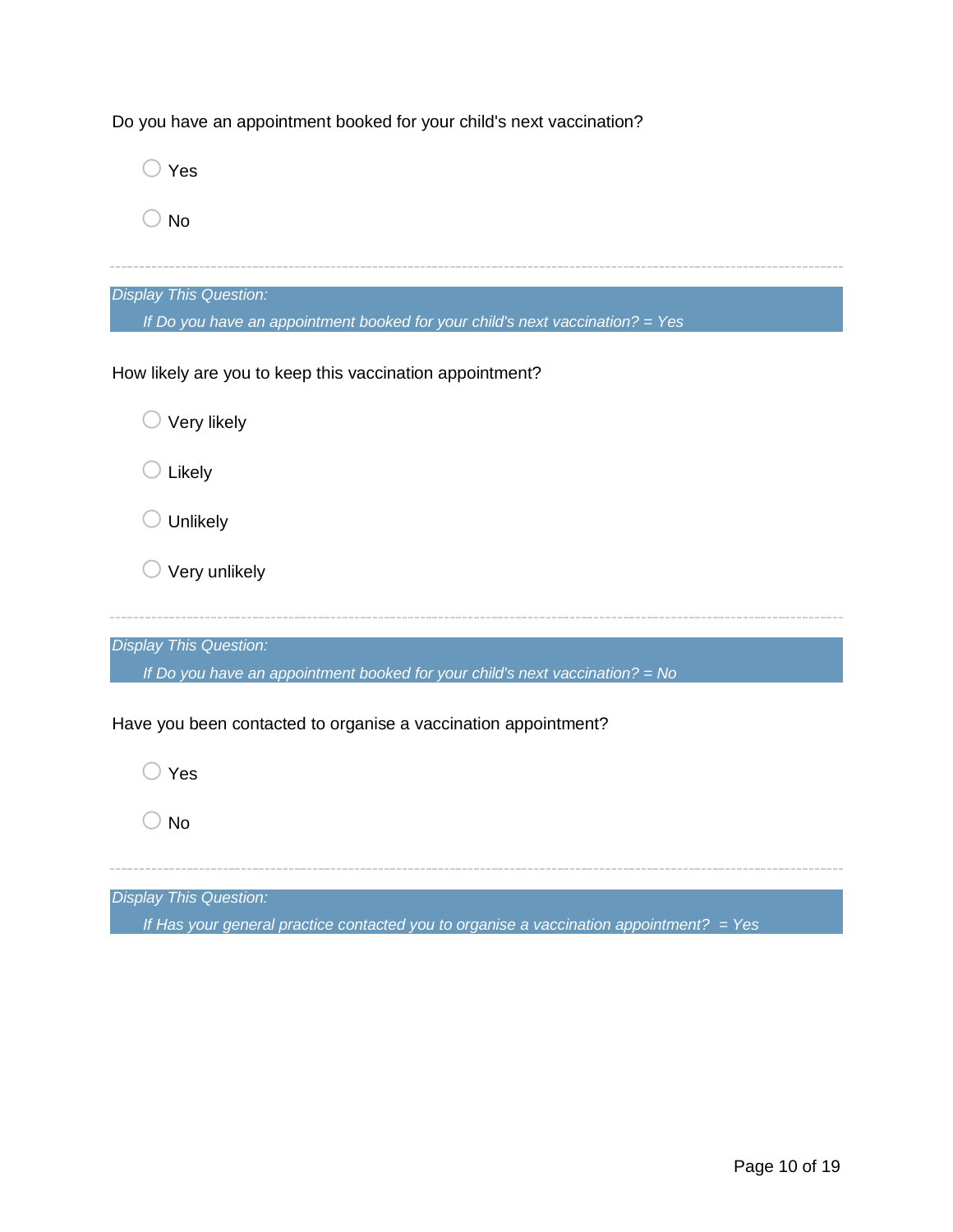Do you have an appointment booked for your child's next vaccination?

| Yes                                                                                                            |
|----------------------------------------------------------------------------------------------------------------|
| <b>No</b>                                                                                                      |
|                                                                                                                |
| <b>Display This Question:</b><br>If Do you have an appointment booked for your child's next vaccination? = Yes |
| How likely are you to keep this vaccination appointment?                                                       |
| Very likely                                                                                                    |
| Likely                                                                                                         |
| Unlikely                                                                                                       |
| Very unlikely                                                                                                  |
|                                                                                                                |
| <b>Display This Question:</b><br>If Do you have an appointment booked for your child's next vaccination? = No  |
| Have you been contacted to organise a vaccination appointment?                                                 |
| Yes                                                                                                            |
| <b>No</b>                                                                                                      |
| <b>Display This Question:</b>                                                                                  |

*If Has your general practice contacted you to organise a vaccination appointment? = Yes*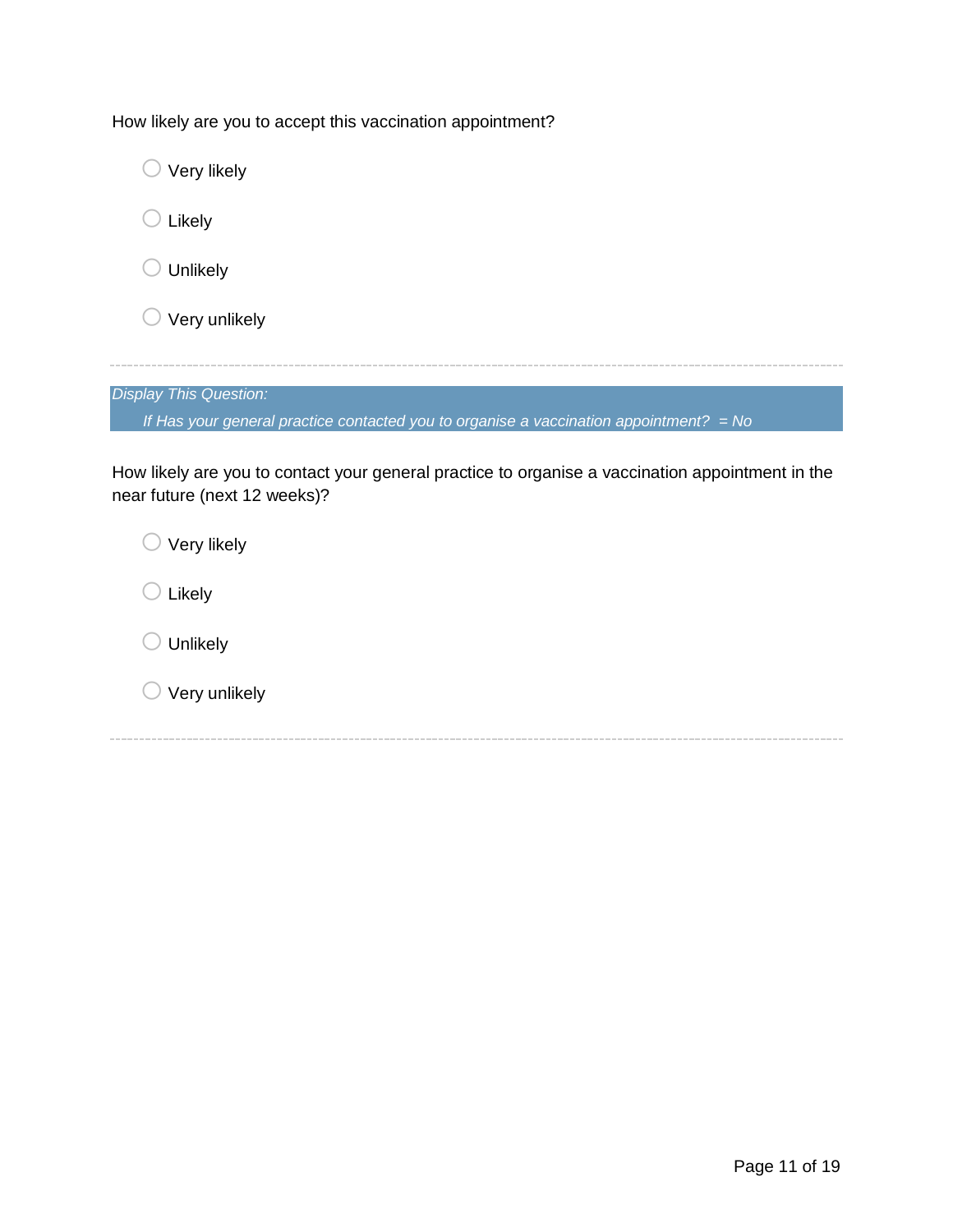| How likely are you to accept this vaccination appointment? |  |
|------------------------------------------------------------|--|
|------------------------------------------------------------|--|

| Very likely                                                                                      |
|--------------------------------------------------------------------------------------------------|
| Likely                                                                                           |
| Unlikely                                                                                         |
| Very unlikely                                                                                    |
|                                                                                                  |
| <b>Display This Question:</b>                                                                    |
| If Has your general practice contacted you to organise a vaccination appointment? $=$ No         |
| How likely are you to contact your general proctice to ergenice a vaccination appointment in the |

How likely are you to contact your general practice to organise a vaccination appointment in the near future (next 12 weeks)?

 $\bigcirc$  Very likely  $\bigcirc$  Likely  $\bigcirc$  Unlikely  $\bigcirc$  Very unlikely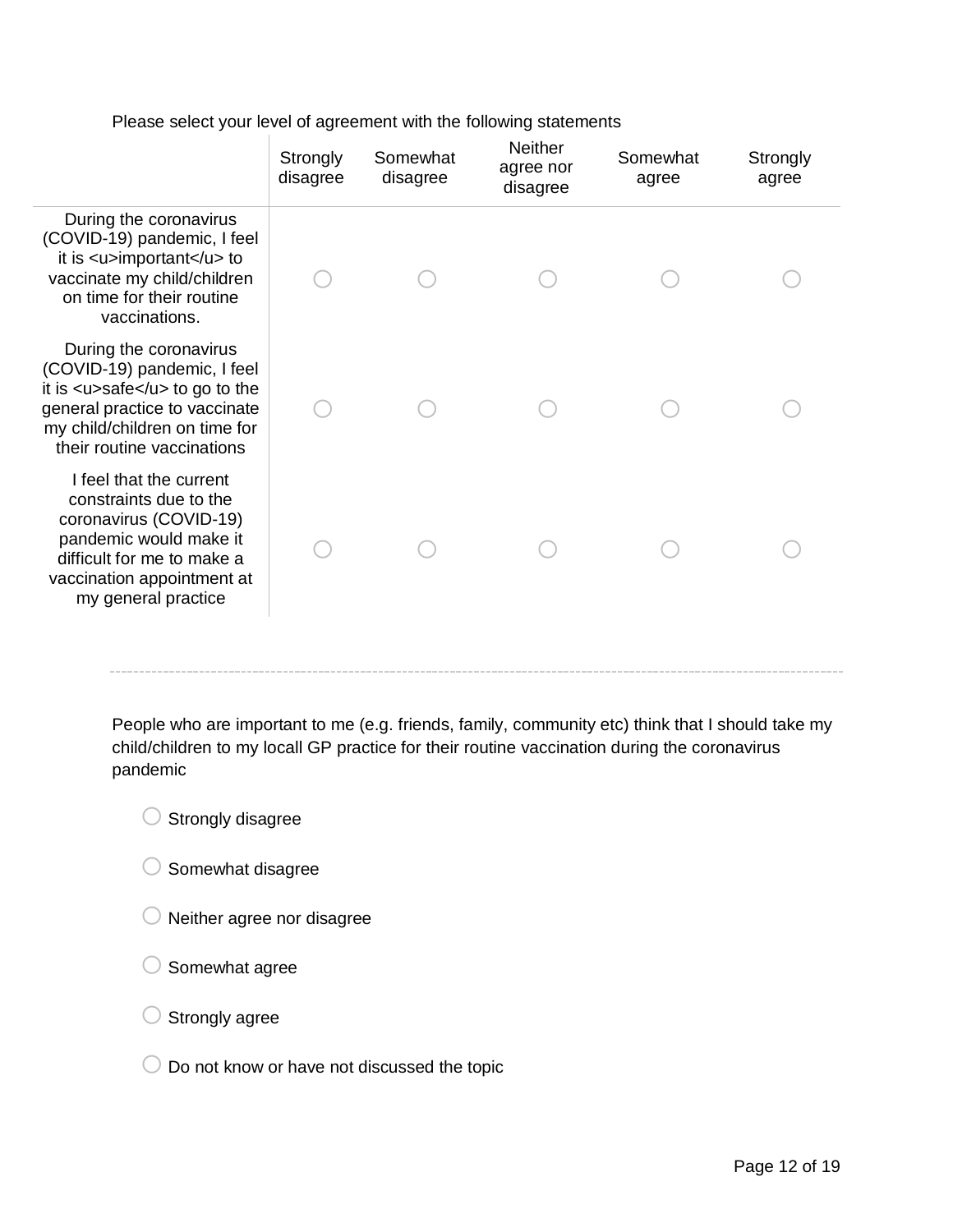Please select your level of agreement with the following statements

|                                                                                                                                                                                                   | Strongly<br>disagree | Somewhat<br>disagree | agree nor<br>disagree | Somewhat<br>agree | Strongly<br>agree |
|---------------------------------------------------------------------------------------------------------------------------------------------------------------------------------------------------|----------------------|----------------------|-----------------------|-------------------|-------------------|
| During the coronavirus<br>(COVID-19) pandemic, I feel<br>it is $\langle u \rangle$ -important $\langle u \rangle$ to<br>vaccinate my child/children<br>on time for their routine<br>vaccinations. |                      |                      |                       |                   |                   |
| During the coronavirus<br>(COVID-19) pandemic, I feel<br>it is <u>safe</u> to go to the<br>general practice to vaccinate<br>my child/children on time for<br>their routine vaccinations           |                      |                      |                       |                   |                   |
| I feel that the current<br>constraints due to the<br>coronavirus (COVID-19)<br>pandemic would make it<br>difficult for me to make a<br>vaccination appointment at<br>my general practice          |                      |                      |                       |                   |                   |
|                                                                                                                                                                                                   |                      |                      |                       |                   |                   |

People who are important to me (e.g. friends, family, community etc) think that I should take my child/children to my locall GP practice for their routine vaccination during the coronavirus pandemic

 $\bigcirc$  Strongly disagree

 $\bigcirc$  Somewhat disagree

- $\bigcirc$  Neither agree nor disagree
- $\bigcirc$  Somewhat agree
- $\bigcirc$  Strongly agree
- $\bigcirc$  Do not know or have not discussed the topic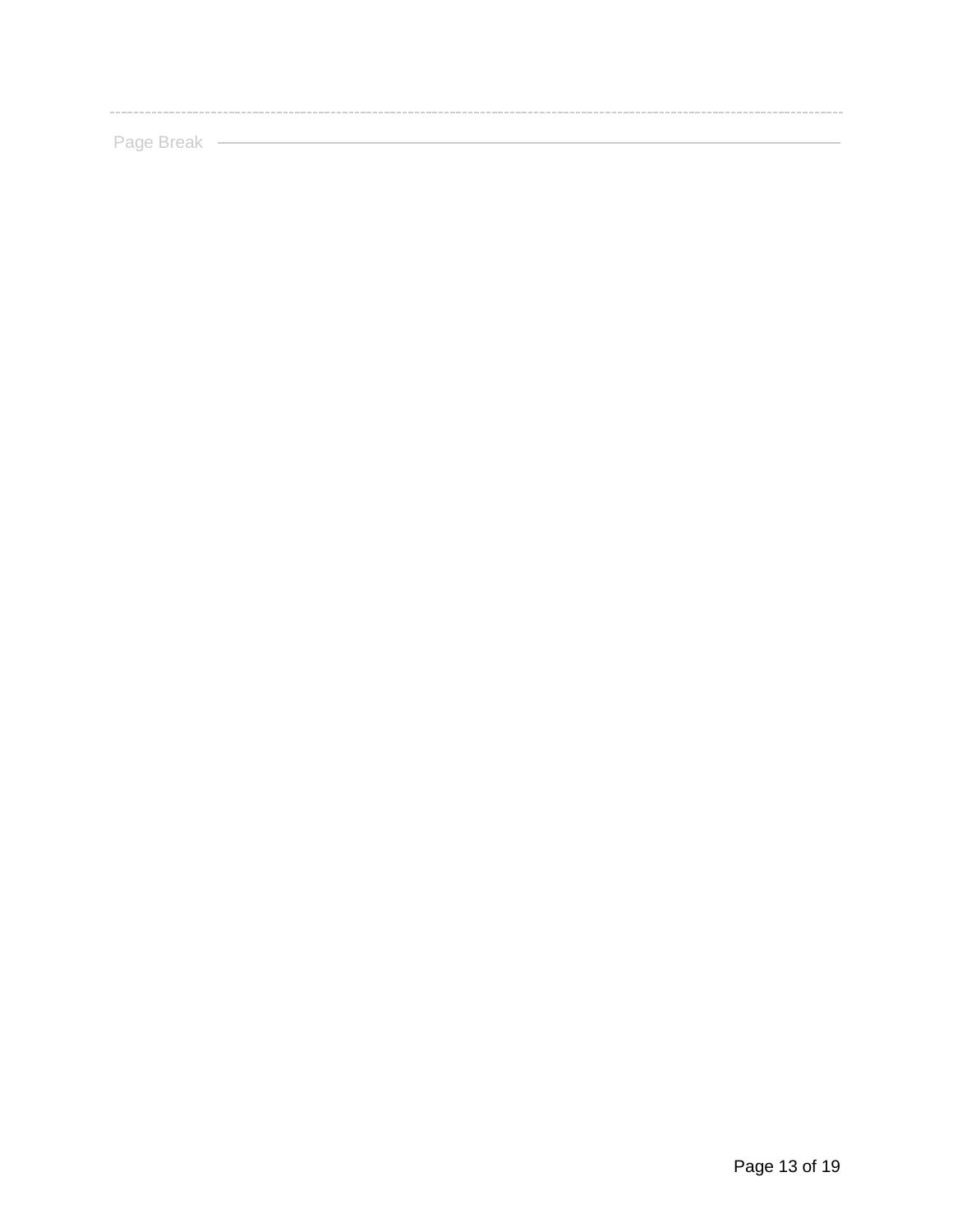Page Break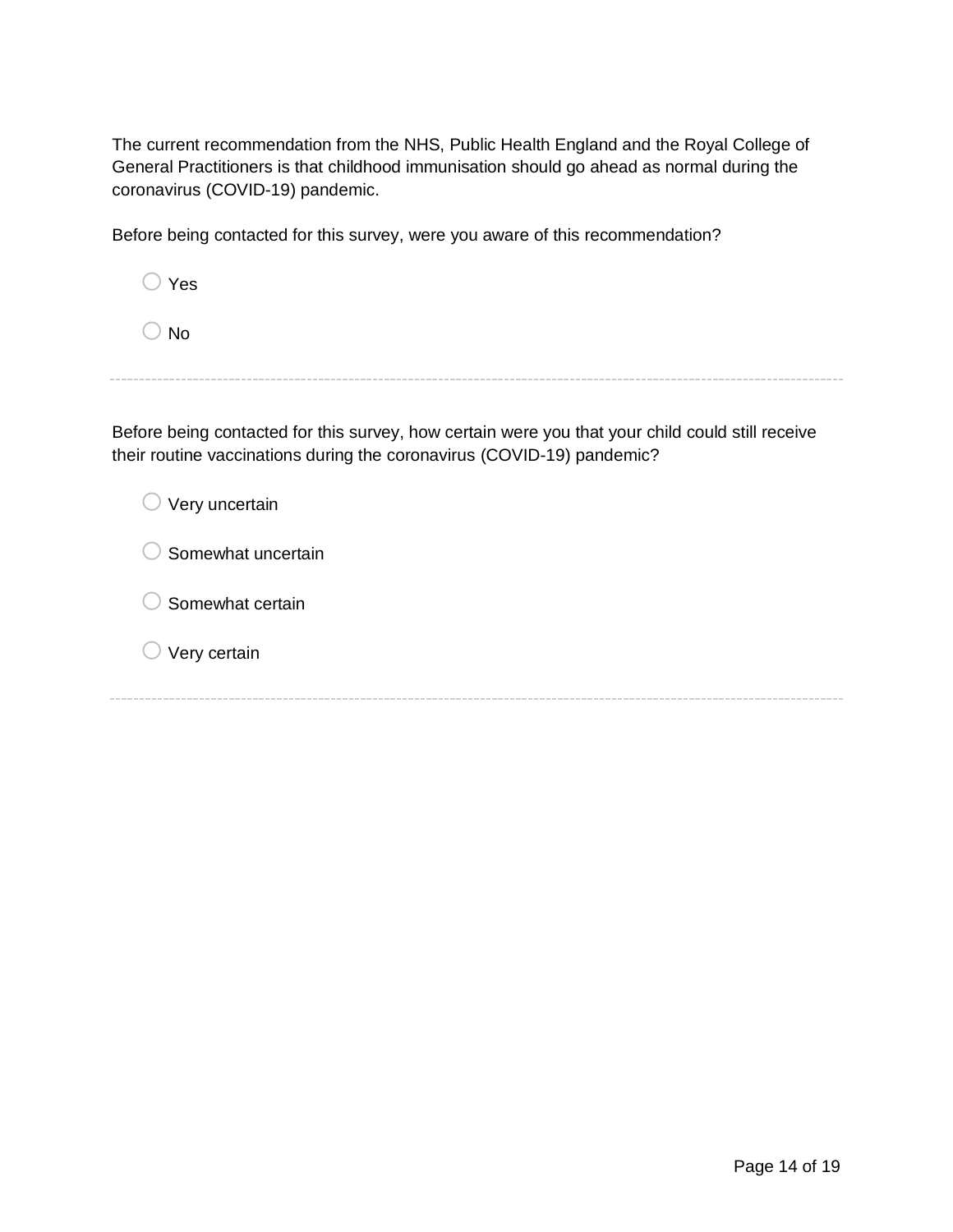The current recommendation from the NHS, Public Health England and the Royal College of General Practitioners is that childhood immunisation should go ahead as normal during the coronavirus (COVID-19) pandemic.

Before being contacted for this survey, were you aware of this recommendation?

| Yes |
|-----|
|     |

 $\bigcirc$  No

Before being contacted for this survey, how certain were you that your child could still receive their routine vaccinations during the coronavirus (COVID-19) pandemic?

| $\bigcirc$ Very uncertain        |
|----------------------------------|
| Somewhat uncertain<br>$\chi = 1$ |
| Somewhat certain<br>$\sqrt{2}$   |
| Very certain<br>U                |
|                                  |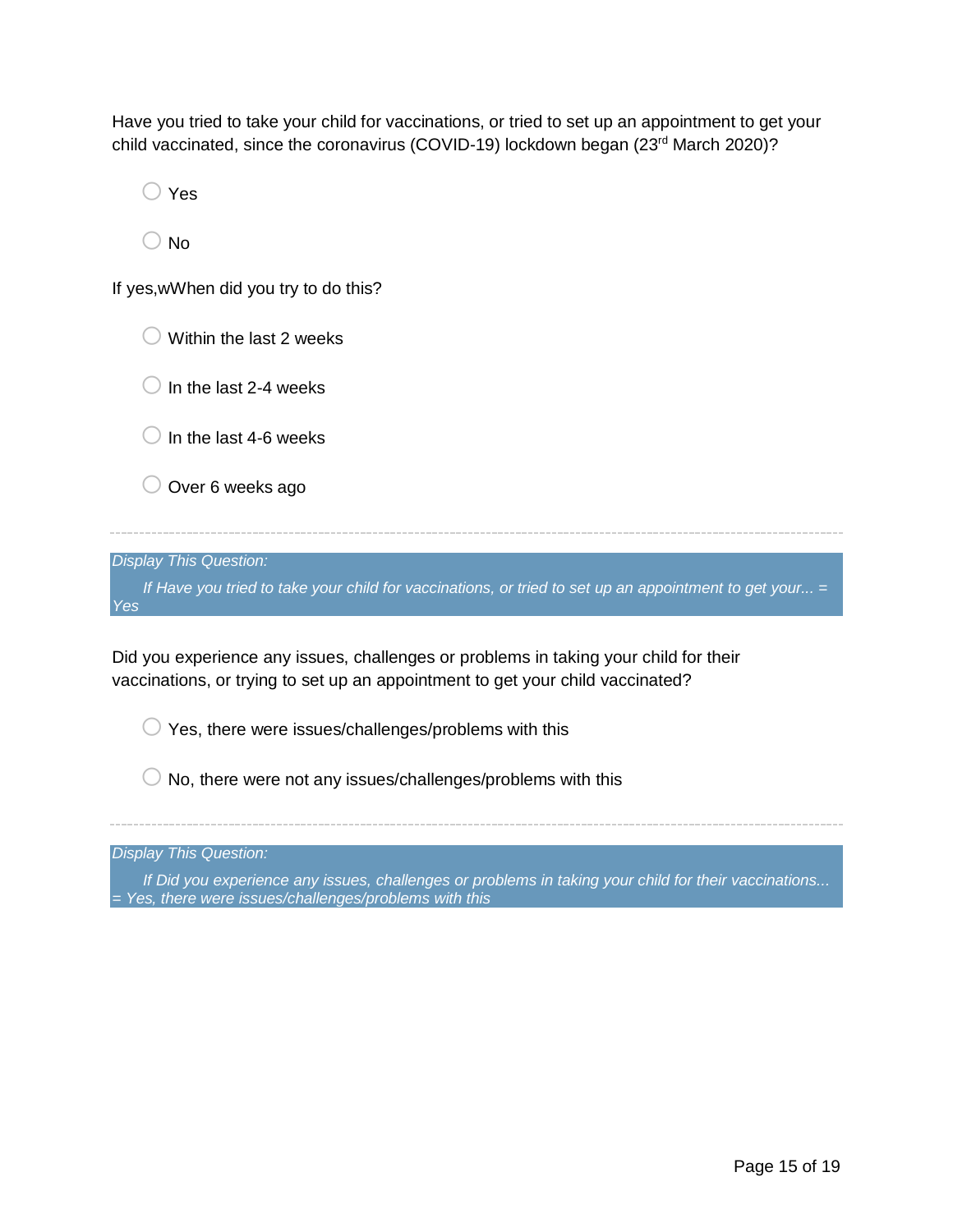Have you tried to take your child for vaccinations, or tried to set up an appointment to get your child vaccinated, since the coronavirus (COVID-19) lockdown began (23<sup>rd</sup> March 2020)?

 $\bigcirc$  Yes

 $\bigcirc$  No

If yes,wWhen did you try to do this?

 $\bigcirc$  Within the last 2 weeks

 $\bigcirc$  In the last 2-4 weeks

 $\bigcirc$  In the last 4-6 weeks

 $\bigcirc$  Over 6 weeks ago

*Display This Question:*

*If Have you tried to take your child for vaccinations, or tried to set up an appointment to get your... = Yes*

Did you experience any issues, challenges or problems in taking your child for their vaccinations, or trying to set up an appointment to get your child vaccinated?

 $\bigcirc$  Yes, there were issues/challenges/problems with this

 $\bigcirc$  No, there were not any issues/challenges/problems with this

*Display This Question:*

*If Did you experience any issues, challenges or problems in taking your child for their vaccinations... = Yes, there were issues/challenges/problems with this*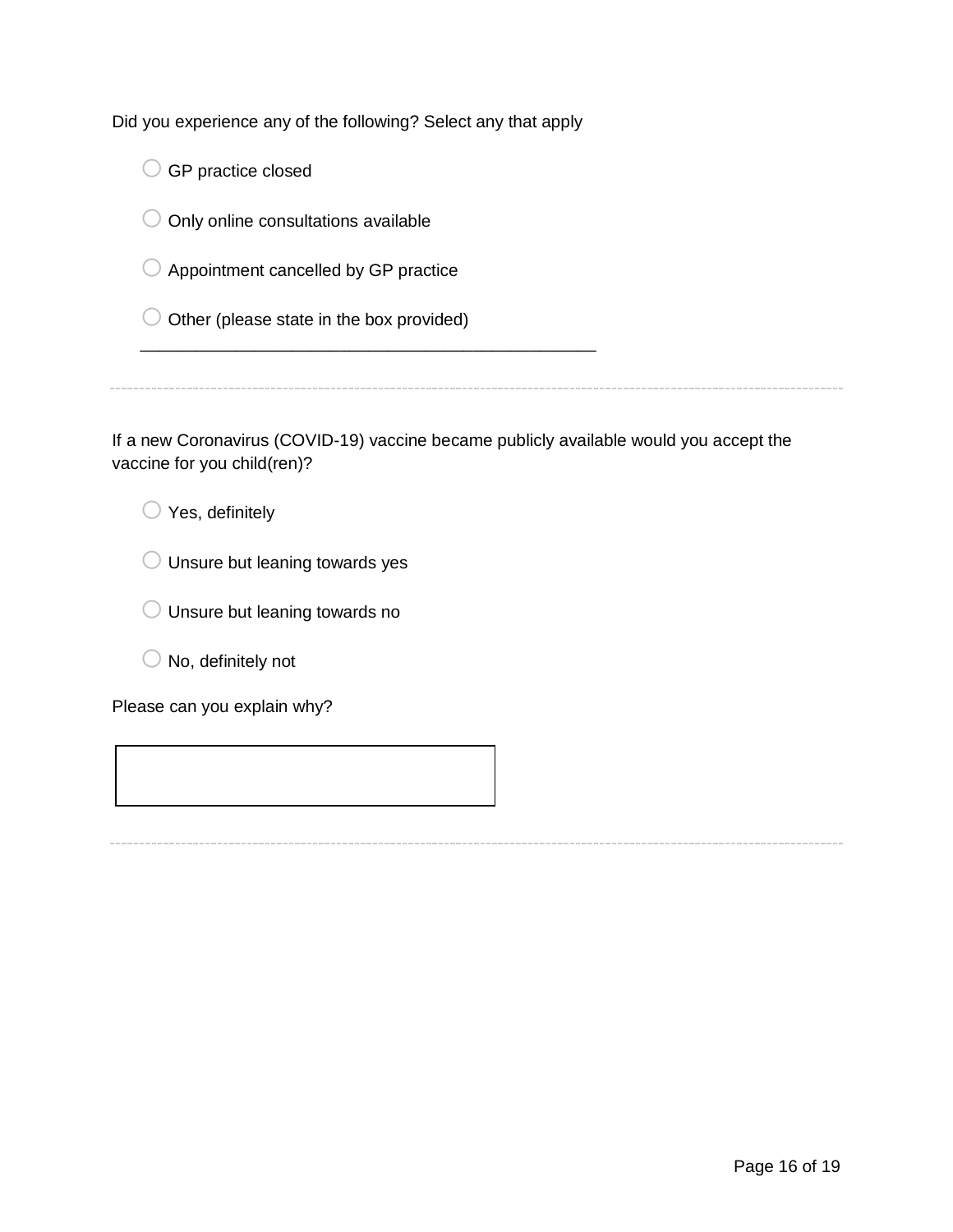Did you experience any of the following? Select any that apply

\_\_\_\_\_\_\_\_\_\_\_\_\_\_\_\_\_\_\_\_\_\_\_\_\_\_\_\_\_\_\_\_\_\_\_\_\_\_\_\_\_\_\_\_\_\_\_\_

 $\bigcirc$  GP practice closed

 $\bigcirc$  Only online consultations available

 $\bigcirc$  Appointment cancelled by GP practice

 $\bigcirc$  Other (please state in the box provided)

If a new Coronavirus (COVID-19) vaccine became publicly available would you accept the vaccine for you child(ren)?

 $\bigcirc$  Yes, definitely

 $\bigcirc$  Unsure but leaning towards yes

 $\bigcirc$  Unsure but leaning towards no

 $\bigcirc$  No, definitely not

Please can you explain why?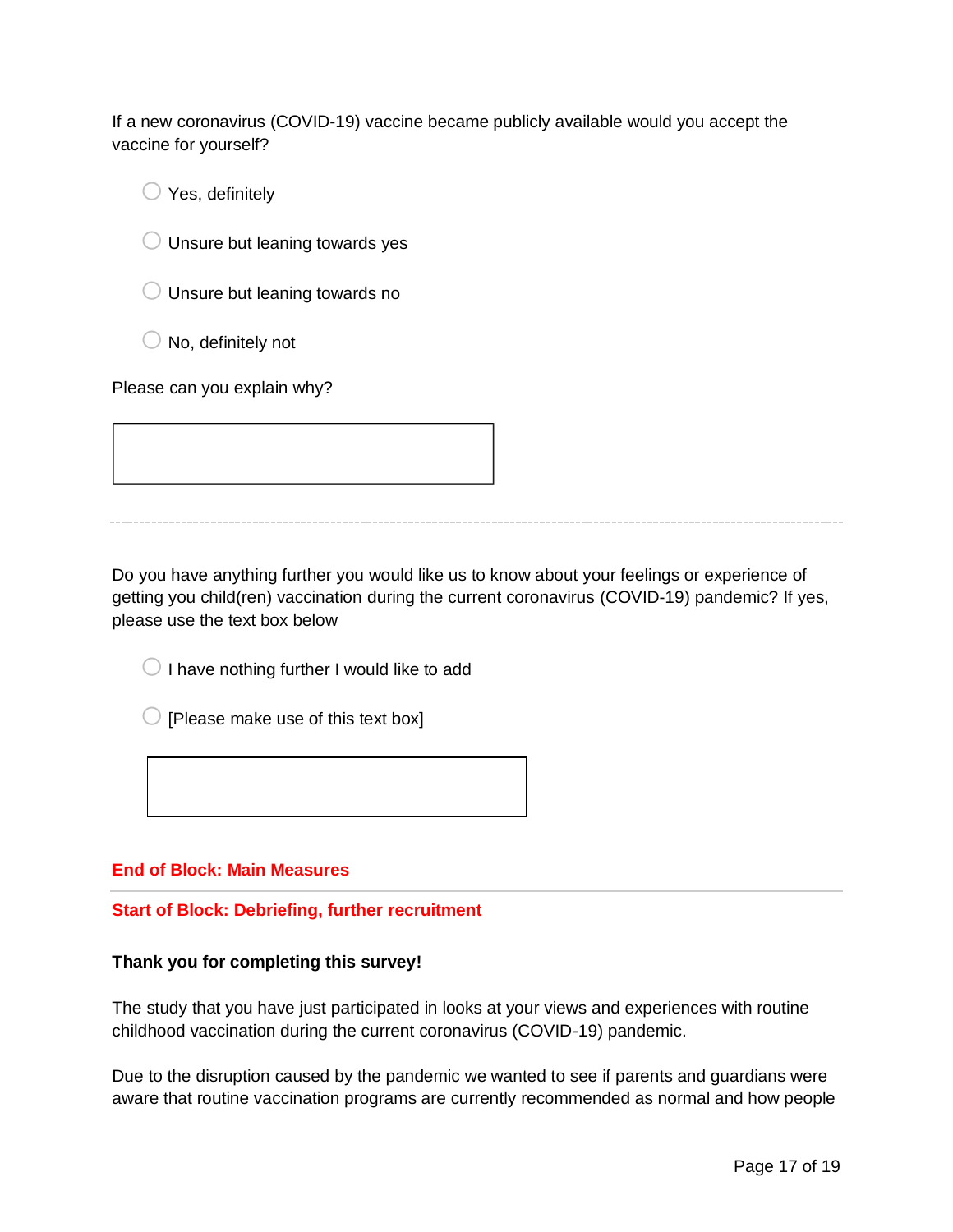If a new coronavirus (COVID-19) vaccine became publicly available would you accept the vaccine for yourself?

 $\bigcirc$  Yes, definitely

 $\bigcirc$  Unsure but leaning towards yes

 $\bigcirc$  Unsure but leaning towards no

 $\bigcirc$  No, definitely not

Please can you explain why?

Do you have anything further you would like us to know about your feelings or experience of getting you child(ren) vaccination during the current coronavirus (COVID-19) pandemic? If yes, please use the text box below

 $\bigcirc$  I have nothing further I would like to add

 $\bigcirc$  [Please make use of this text box]

#### **End of Block: Main Measures**

#### **Start of Block: Debriefing, further recruitment**

#### **Thank you for completing this survey!**

The study that you have just participated in looks at your views and experiences with routine childhood vaccination during the current coronavirus (COVID-19) pandemic.

Due to the disruption caused by the pandemic we wanted to see if parents and guardians were aware that routine vaccination programs are currently recommended as normal and how people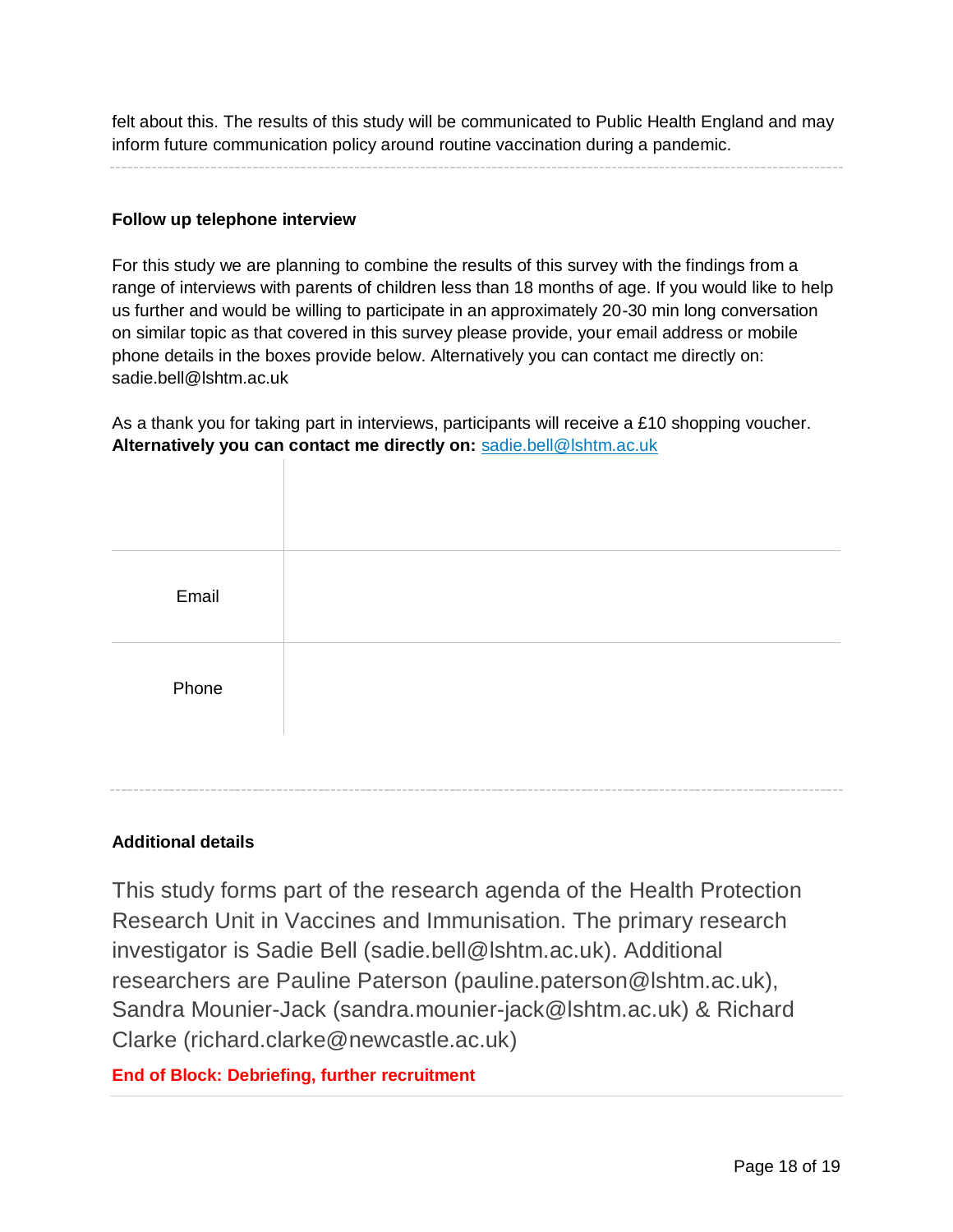felt about this. The results of this study will be communicated to Public Health England and may inform future communication policy around routine vaccination during a pandemic.

## **Follow up telephone interview**

For this study we are planning to combine the results of this survey with the findings from a range of interviews with parents of children less than 18 months of age. If you would like to help us further and would be willing to participate in an approximately 20-30 min long conversation on similar topic as that covered in this survey please provide, your email address or mobile phone details in the boxes provide below. Alternatively you can contact me directly on: sadie.bell@lshtm.ac.uk

As a thank you for taking part in interviews, participants will receive a £10 shopping voucher. **Alternatively you can contact me directly on:** [sadie.bell@lshtm.ac.uk](mailto:sadie.bell@lshtm.ac.uk?subject=Follow%20up%20telephone%20interview&body=I%20would%20like%20to%20be%20contacted%20for%20a%20follow%20up%20telephone%20interview) 



## **Additional details**

This study forms part of the research agenda of the Health Protection Research Unit in Vaccines and Immunisation. The primary research investigator is Sadie Bell (sadie.bell@lshtm.ac.uk). Additional researchers are Pauline Paterson (pauline.paterson@lshtm.ac.uk), Sandra Mounier-Jack (sandra.mounier-jack@lshtm.ac.uk) & Richard Clarke (richard.clarke@newcastle.ac.uk)

## **End of Block: Debriefing, further recruitment**